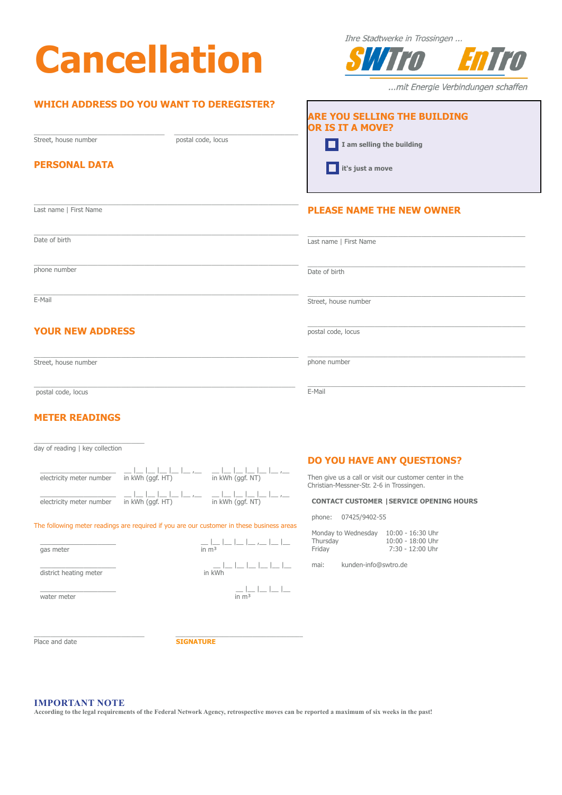# **Cancellation**

## **WHICH ADDRESS DO YOU WANT TO DEREGISTER?**

Street, house number postal code, locus

\_\_\_\_\_\_\_\_\_\_\_\_\_\_\_\_\_\_\_\_\_\_\_\_\_\_\_\_\_\_\_\_\_\_\_\_\_\_\_ \_\_\_\_\_\_\_\_\_\_\_\_\_\_\_\_\_\_\_\_\_\_\_\_\_\_\_\_\_\_\_\_\_\_\_\_\_

#### **PERSONAL DATA**

\_\_\_\_\_\_\_\_\_\_\_\_\_\_\_\_\_\_\_\_\_\_\_\_\_\_\_\_\_\_\_\_\_\_\_\_\_\_\_\_\_\_\_\_\_\_\_\_\_\_\_\_\_\_\_\_\_\_\_\_\_\_\_\_\_\_\_\_\_\_\_\_\_\_\_\_\_\_\_ Last name | First Name

E-Mail

### **YOUR NEW ADDRESS**

\_\_\_\_\_\_\_\_\_\_\_\_\_\_\_\_\_\_\_\_\_\_\_\_\_\_\_\_\_\_\_\_\_\_\_\_\_\_\_\_\_\_\_\_\_\_\_\_\_\_\_\_\_\_\_\_\_\_\_\_\_\_\_\_\_\_\_\_\_\_\_\_\_\_\_\_\_\_ postal code, locus

#### **METER READINGS**

day of reading | key collection

 $\overline{\phantom{a}}$  , and the set of the set of the set of the set of the set of the set of the set of the set of the set of the set of the set of the set of the set of the set of the set of the set of the set of the set of the s

| electricity meter number | in kWh (ggf. HT)                                           | كالماط كالماط والماد والماط كالمارك<br>in kWh (ggf. NT) |
|--------------------------|------------------------------------------------------------|---------------------------------------------------------|
| electricity meter number | كالماط كالماط والمارك المحاطات والمارك<br>in kWh (ggf. HT) | in kWh (ggf. NT)                                        |

The following meter readings are required if you are our customer in these business areas

| gas meter | in m <sup>3</sup> |  |
|-----------|-------------------|--|

district heating meter

water meter

\_\_\_\_\_\_\_\_\_\_\_\_\_\_\_\_\_\_\_\_\_\_\_\_\_\_\_\_\_\_\_\_\_ \_\_\_\_\_\_\_\_\_\_\_\_\_\_\_\_\_\_\_\_\_\_\_\_\_\_\_\_\_\_\_\_\_\_\_\_\_\_ Place and date **SIGNATURE** 

Ihre Stadtwerke in Trossingen ...



...mit Energie Verbindungen schaffen.

| <b>ARE YOU SELLING THE BUILDING</b><br><b>OR IS IT A MOVE?</b> |  |  |
|----------------------------------------------------------------|--|--|
| I am selling the building                                      |  |  |
| $\Box$ it's just a move                                        |  |  |

#### **PLEASE NAME THE NEW OWNER**

| Date of birth           | Last name   First Name |
|-------------------------|------------------------|
| phone number            | Date of birth          |
| E-Mail                  | Street, house number   |
| <b>YOUR NEW ADDRESS</b> | postal code, locus     |
| Street, house number    | phone number           |
|                         |                        |

### **DO YOU HAVE ANY QUESTIONS?**

Then give us a call or visit our customer center in the Christian-Messner-Str. 2-6 in Trossingen.

#### **CONTACT CUSTOMER |SERVICE OPENING HOURS**

phone: 07425/9402-55

E-Mail

| Monday to Wednesday | $10:00 - 16:30$ Uhr |
|---------------------|---------------------|
| Thursday            | 10:00 - 18:00 Uhr   |
| Friday              | 7:30 - 12:00 Uhr    |

mai: kunden-info@swtro.de

#### **IMPORTANT NOTE**

**According to the legal requirements of the Federal Network Agency, retrospective moves can be reported a maximum of six weeks in the past!**

 $\frac{1}{\ln m^3}$   $|$   $|$   $|$   $|$   $|$   $|$   $|$   $|$   $|$   $|$   $|$   $|$   $|$   $|$   $|$   $|$   $|$   $-$ 

 $\frac{1}{\ln \text{kWh}}|_{\text{max}}|_{\text{max}}|_{\text{max}}|_{\text{max}}|_{\text{max}}|_{\text{max}}|_{\text{max}}|_{\text{max}}|_{\text{max}}|_{\text{max}}|_{\text{max}}|_{\text{max}}|_{\text{max}}|_{\text{max}}|_{\text{max}}|_{\text{max}}|_{\text{max}}|_{\text{max}}|_{\text{max}}|_{\text{max}}|_{\text{max}}|_{\text{max}}|_{\text{max}}|_{\text{max}}|_{\text{max}}|_{\text{max}}|_{\text{max}}|_{\text{max}}|_{\text{max}}|_{\text{$ 

 $\frac{1}{\sin m^3}$  |\_\_ |\_ |\_